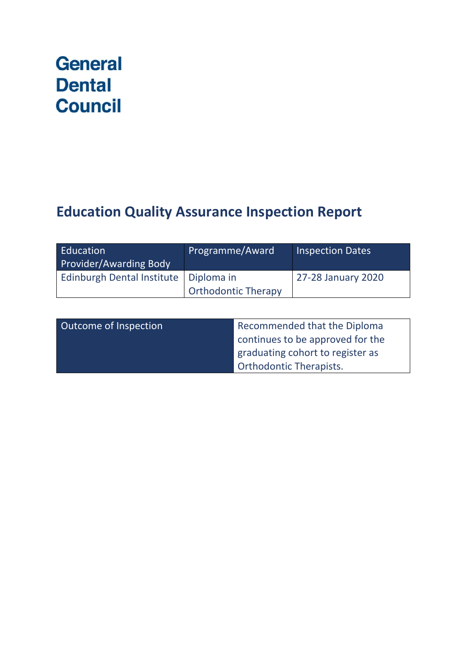# **General Dental Council**

## **Education Quality Assurance Inspection Report**

| Education<br>Provider/Awarding Body     | Programme/Award            | <b>Inspection Dates</b> |
|-----------------------------------------|----------------------------|-------------------------|
| Edinburgh Dental Institute   Diploma in | <b>Orthodontic Therapy</b> | 27-28 January 2020      |

| Outcome of Inspection | Recommended that the Diploma     |
|-----------------------|----------------------------------|
|                       | continues to be approved for the |
|                       | graduating cohort to register as |
|                       | <b>Orthodontic Therapists.</b>   |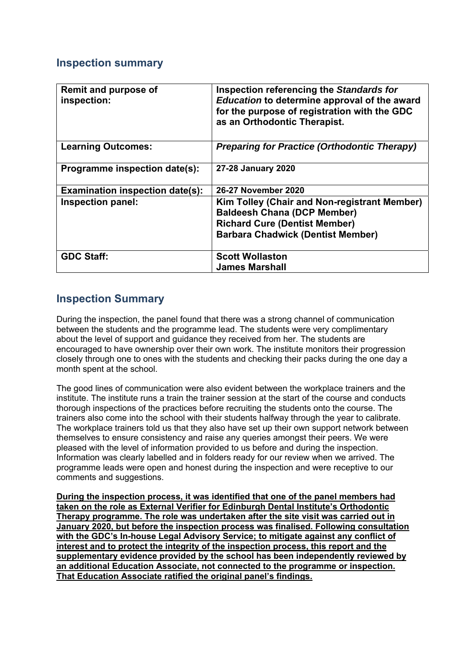### **Inspection summary**

| <b>Remit and purpose of</b><br>inspection: | Inspection referencing the Standards for<br>Education to determine approval of the award<br>for the purpose of registration with the GDC<br>as an Orthodontic Therapist.      |
|--------------------------------------------|-------------------------------------------------------------------------------------------------------------------------------------------------------------------------------|
| <b>Learning Outcomes:</b>                  | <b>Preparing for Practice (Orthodontic Therapy)</b>                                                                                                                           |
| Programme inspection date(s):              | 27-28 January 2020                                                                                                                                                            |
| <b>Examination inspection date(s):</b>     | 26-27 November 2020                                                                                                                                                           |
| Inspection panel:                          | <b>Kim Tolley (Chair and Non-registrant Member)</b><br><b>Baldeesh Chana (DCP Member)</b><br><b>Richard Cure (Dentist Member)</b><br><b>Barbara Chadwick (Dentist Member)</b> |
| <b>GDC Staff:</b>                          | <b>Scott Wollaston</b><br><b>James Marshall</b>                                                                                                                               |

### **Inspection Summary**

During the inspection, the panel found that there was a strong channel of communication between the students and the programme lead. The students were very complimentary about the level of support and guidance they received from her. The students are encouraged to have ownership over their own work. The institute monitors their progression closely through one to ones with the students and checking their packs during the one day a month spent at the school.

The good lines of communication were also evident between the workplace trainers and the institute. The institute runs a train the trainer session at the start of the course and conducts thorough inspections of the practices before recruiting the students onto the course. The trainers also come into the school with their students halfway through the year to calibrate. The workplace trainers told us that they also have set up their own support network between themselves to ensure consistency and raise any queries amongst their peers. We were pleased with the level of information provided to us before and during the inspection. Information was clearly labelled and in folders ready for our review when we arrived. The programme leads were open and honest during the inspection and were receptive to our comments and suggestions.

**During the inspection process, it was identified that one of the panel members had taken on the role as External Verifier for Edinburgh Dental Institute's Orthodontic Therapy programme. The role was undertaken after the site visit was carried out in January 2020, but before the inspection process was finalised. Following consultation with the GDC's In-house Legal Advisory Service; to mitigate against any conflict of interest and to protect the integrity of the inspection process, this report and the supplementary evidence provided by the school has been independently reviewed by an additional Education Associate, not connected to the programme or inspection. That Education Associate ratified the original panel's findings.**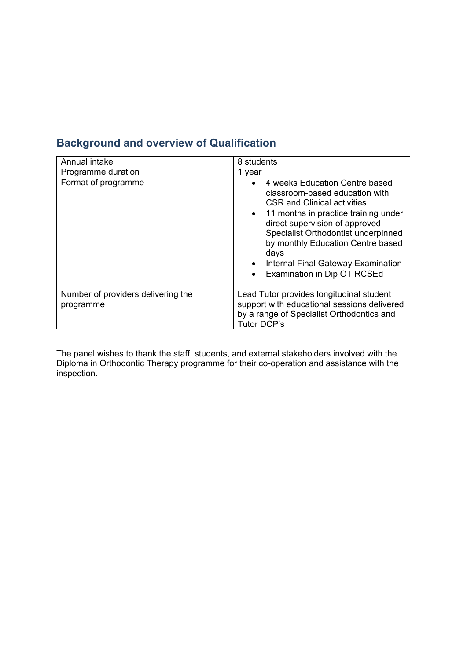| Annual intake                                   | 8 students                                                                                                                                                                                                                                                                                                                                                                       |
|-------------------------------------------------|----------------------------------------------------------------------------------------------------------------------------------------------------------------------------------------------------------------------------------------------------------------------------------------------------------------------------------------------------------------------------------|
| Programme duration                              | 1 vear                                                                                                                                                                                                                                                                                                                                                                           |
| Format of programme                             | 4 weeks Education Centre based<br>$\bullet$<br>classroom-based education with<br><b>CSR and Clinical activities</b><br>11 months in practice training under<br>$\bullet$<br>direct supervision of approved<br>Specialist Orthodontist underpinned<br>by monthly Education Centre based<br>days<br>Internal Final Gateway Examination<br>Examination in Dip OT RCSEd<br>$\bullet$ |
| Number of providers delivering the<br>programme | Lead Tutor provides longitudinal student<br>support with educational sessions delivered<br>by a range of Specialist Orthodontics and<br><b>Tutor DCP's</b>                                                                                                                                                                                                                       |

### **Background and overview of Qualification**

The panel wishes to thank the staff, students, and external stakeholders involved with the Diploma in Orthodontic Therapy programme for their co-operation and assistance with the inspection.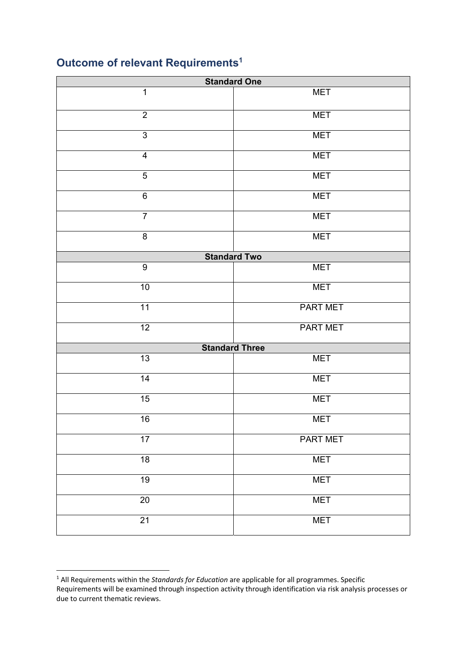### **Outcome of relevant Requirements1**

| <b>Standard One</b>     |                       |  |
|-------------------------|-----------------------|--|
| $\overline{1}$          | <b>MET</b>            |  |
| $\boldsymbol{2}$        | <b>MET</b>            |  |
| $\overline{3}$          | <b>MET</b>            |  |
| $\overline{\mathbf{4}}$ | <b>MET</b>            |  |
| $\overline{5}$          | <b>MET</b>            |  |
| $\overline{6}$          | <b>MET</b>            |  |
| $\overline{7}$          | <b>MET</b>            |  |
| $\overline{8}$          | <b>MET</b>            |  |
|                         | <b>Standard Two</b>   |  |
| $\boldsymbol{9}$        | <b>MET</b>            |  |
| 10                      | <b>MET</b>            |  |
| 11                      | <b>PART MET</b>       |  |
| $\overline{12}$         | <b>PART MET</b>       |  |
|                         | <b>Standard Three</b> |  |
| 13                      | <b>MET</b>            |  |
| 14                      | <b>MET</b>            |  |
| 15                      | <b>MET</b>            |  |
| 16                      | <b>MET</b>            |  |
| $\overline{17}$         | <b>PART MET</b>       |  |
| $\overline{18}$         | <b>MET</b>            |  |
| 19                      | <b>MET</b>            |  |
| $20\,$                  | <b>MET</b>            |  |
| $\overline{21}$         | <b>MET</b>            |  |

 due to current thematic reviews. 1 All Requirements within the *Standards for Education* are applicable for all programmes. Specific Requirements will be examined through inspection activity through identification via risk analysis processes or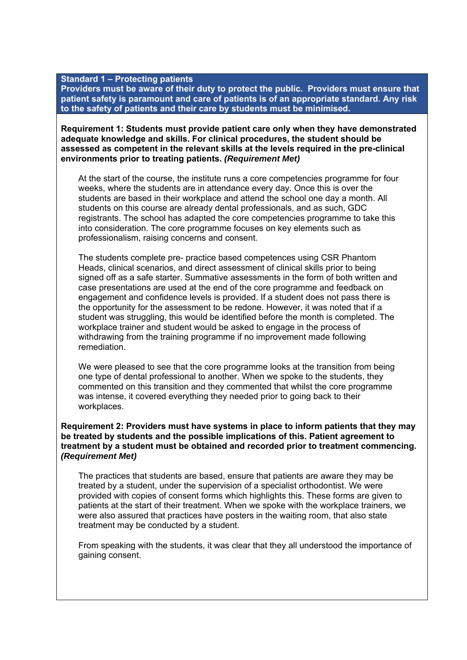#### **Standard 1 – Protecting patients**

**Providers must be aware of their duty to protect the public. Providers must ensure that patient safety is paramount and care of patients is of an appropriate standard. Any risk to the safety of patients and their care by students must be minimised.**

#### **Requirement 1: Students must provide patient care only when they have demonstrated adequate knowledge and skills. For clinical procedures, the student should be assessed as competent in the relevant skills at the levels required in the pre-clinical environments prior to treating patients.** *(Requirement Met)*

At the start of the course, the institute runs a core competencies programme for four weeks, where the students are in attendance every day. Once this is over the students are based in their workplace and attend the school one day a month. All students on this course are already dental professionals, and as such, GDC registrants. The school has adapted the core competencies programme to take this into consideration. The core programme focuses on key elements such as professionalism, raising concerns and consent.

The students complete pre- practice based competences using CSR Phantom Heads, clinical scenarios, and direct assessment of clinical skills prior to being signed off as a safe starter. Summative assessments in the form of both written and case presentations are used at the end of the core programme and feedback on engagement and confidence levels is provided. If a student does not pass there is the opportunity for the assessment to be redone. However, it was noted that if a student was struggling, this would be identified before the month is completed. The workplace trainer and student would be asked to engage in the process of withdrawing from the training programme if no improvement made following remediation.

We were pleased to see that the core programme looks at the transition from being one type of dental professional to another. When we spoke to the students, they commented on this transition and they commented that whilst the core programme was intense, it covered everything they needed prior to going back to their workplaces.

#### **Requirement 2: Providers must have systems in place to inform patients that they may be treated by students and the possible implications of this. Patient agreement to treatment by a student must be obtained and recorded prior to treatment commencing.**  *(Requirement Met)*

The practices that students are based, ensure that patients are aware they may be treated by a student, under the supervision of a specialist orthodontist. We were provided with copies of consent forms which highlights this. These forms are given to patients at the start of their treatment. When we spoke with the workplace trainers, we were also assured that practices have posters in the waiting room, that also state treatment may be conducted by a student.

From speaking with the students, it was clear that they all understood the importance of gaining consent.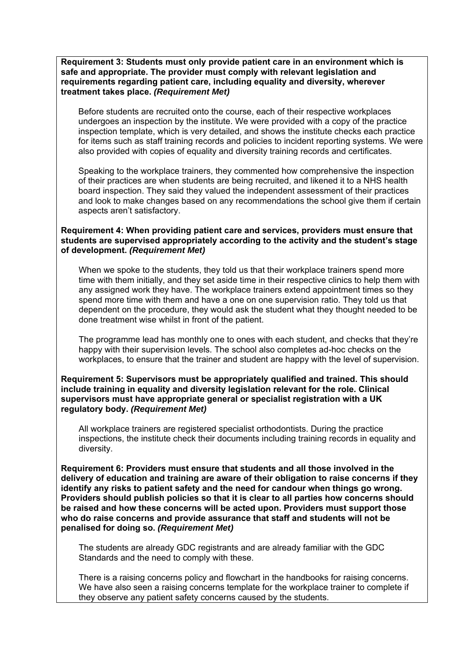**Requirement 3: Students must only provide patient care in an environment which is safe and appropriate. The provider must comply with relevant legislation and requirements regarding patient care, including equality and diversity, wherever treatment takes place.** *(Requirement Met)* 

Before students are recruited onto the course, each of their respective workplaces undergoes an inspection by the institute. We were provided with a copy of the practice inspection template, which is very detailed, and shows the institute checks each practice for items such as staff training records and policies to incident reporting systems. We were also provided with copies of equality and diversity training records and certificates.

Speaking to the workplace trainers, they commented how comprehensive the inspection of their practices are when students are being recruited, and likened it to a NHS health board inspection. They said they valued the independent assessment of their practices and look to make changes based on any recommendations the school give them if certain aspects aren't satisfactory.

#### **Requirement 4: When providing patient care and services, providers must ensure that students are supervised appropriately according to the activity and the student's stage of development.** *(Requirement Met)*

When we spoke to the students, they told us that their workplace trainers spend more time with them initially, and they set aside time in their respective clinics to help them with any assigned work they have. The workplace trainers extend appointment times so they spend more time with them and have a one on one supervision ratio. They told us that dependent on the procedure, they would ask the student what they thought needed to be done treatment wise whilst in front of the patient.

The programme lead has monthly one to ones with each student, and checks that they're happy with their supervision levels. The school also completes ad-hoc checks on the workplaces, to ensure that the trainer and student are happy with the level of supervision.

**Requirement 5: Supervisors must be appropriately qualified and trained. This should include training in equality and diversity legislation relevant for the role. Clinical supervisors must have appropriate general or specialist registration with a UK regulatory body.** *(Requirement Met)* 

All workplace trainers are registered specialist orthodontists. During the practice inspections, the institute check their documents including training records in equality and diversity.

**Requirement 6: Providers must ensure that students and all those involved in the delivery of education and training are aware of their obligation to raise concerns if they identify any risks to patient safety and the need for candour when things go wrong. Providers should publish policies so that it is clear to all parties how concerns should be raised and how these concerns will be acted upon. Providers must support those who do raise concerns and provide assurance that staff and students will not be penalised for doing so.** *(Requirement Met)* 

The students are already GDC registrants and are already familiar with the GDC Standards and the need to comply with these.

There is a raising concerns policy and flowchart in the handbooks for raising concerns. We have also seen a raising concerns template for the workplace trainer to complete if they observe any patient safety concerns caused by the students.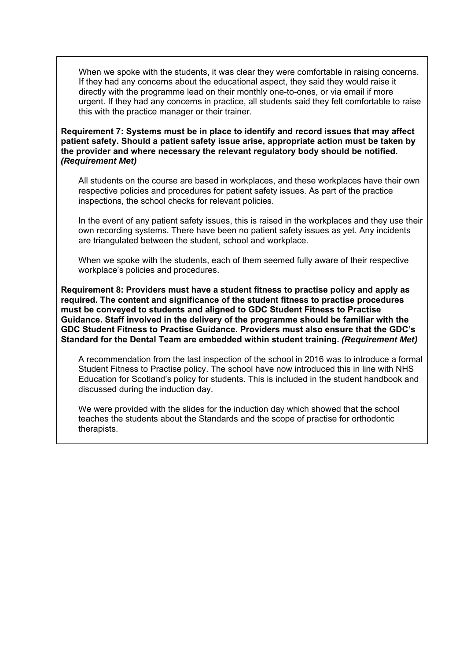When we spoke with the students, it was clear they were comfortable in raising concerns. If they had any concerns about the educational aspect, they said they would raise it directly with the programme lead on their monthly one-to-ones, or via email if more urgent. If they had any concerns in practice, all students said they felt comfortable to raise this with the practice manager or their trainer.

**Requirement 7: Systems must be in place to identify and record issues that may affect patient safety. Should a patient safety issue arise, appropriate action must be taken by the provider and where necessary the relevant regulatory body should be notified.**  *(Requirement Met)* 

All students on the course are based in workplaces, and these workplaces have their own respective policies and procedures for patient safety issues. As part of the practice inspections, the school checks for relevant policies.

In the event of any patient safety issues, this is raised in the workplaces and they use their own recording systems. There have been no patient safety issues as yet. Any incidents are triangulated between the student, school and workplace.

When we spoke with the students, each of them seemed fully aware of their respective workplace's policies and procedures.

**Requirement 8: Providers must have a student fitness to practise policy and apply as required. The content and significance of the student fitness to practise procedures must be conveyed to students and aligned to GDC Student Fitness to Practise Guidance. Staff involved in the delivery of the programme should be familiar with the GDC Student Fitness to Practise Guidance. Providers must also ensure that the GDC's Standard for the Dental Team are embedded within student training.** *(Requirement Met)* 

A recommendation from the last inspection of the school in 2016 was to introduce a formal Student Fitness to Practise policy. The school have now introduced this in line with NHS Education for Scotland's policy for students. This is included in the student handbook and discussed during the induction day.

We were provided with the slides for the induction day which showed that the school teaches the students about the Standards and the scope of practise for orthodontic therapists.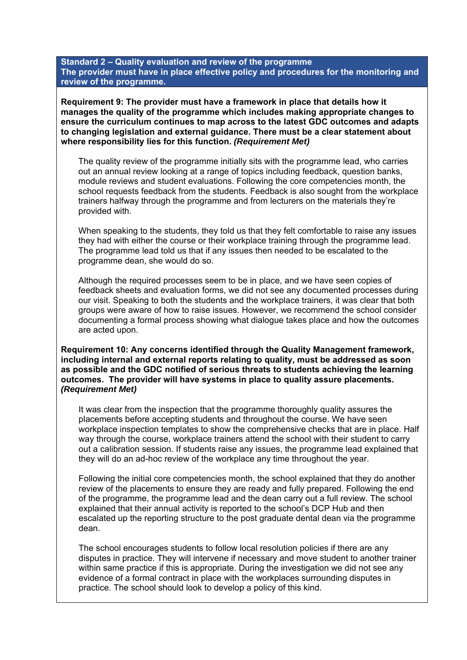**Standard 2 – Quality evaluation and review of the programme The provider must have in place effective policy and procedures for the monitoring and review of the programme.** 

**Requirement 9: The provider must have a framework in place that details how it manages the quality of the programme which includes making appropriate changes to ensure the curriculum continues to map across to the latest GDC outcomes and adapts to changing legislation and external guidance. There must be a clear statement about where responsibility lies for this function.** *(Requirement Met)* 

The quality review of the programme initially sits with the programme lead, who carries out an annual review looking at a range of topics including feedback, question banks, module reviews and student evaluations. Following the core competencies month, the school requests feedback from the students. Feedback is also sought from the workplace trainers halfway through the programme and from lecturers on the materials they're provided with.

When speaking to the students, they told us that they felt comfortable to raise any issues they had with either the course or their workplace training through the programme lead. The programme lead told us that if any issues then needed to be escalated to the programme dean, she would do so.

Although the required processes seem to be in place, and we have seen copies of feedback sheets and evaluation forms, we did not see any documented processes during our visit. Speaking to both the students and the workplace trainers, it was clear that both groups were aware of how to raise issues. However, we recommend the school consider documenting a formal process showing what dialogue takes place and how the outcomes are acted upon.

**Requirement 10: Any concerns identified through the Quality Management framework, including internal and external reports relating to quality, must be addressed as soon as possible and the GDC notified of serious threats to students achieving the learning outcomes. The provider will have systems in place to quality assure placements.**  *(Requirement Met)* 

It was clear from the inspection that the programme thoroughly quality assures the placements before accepting students and throughout the course. We have seen workplace inspection templates to show the comprehensive checks that are in place. Half way through the course, workplace trainers attend the school with their student to carry out a calibration session. If students raise any issues, the programme lead explained that they will do an ad-hoc review of the workplace any time throughout the year.

Following the initial core competencies month, the school explained that they do another review of the placements to ensure they are ready and fully prepared. Following the end of the programme, the programme lead and the dean carry out a full review. The school explained that their annual activity is reported to the school's DCP Hub and then escalated up the reporting structure to the post graduate dental dean via the programme dean.

The school encourages students to follow local resolution policies if there are any disputes in practice. They will intervene if necessary and move student to another trainer within same practice if this is appropriate. During the investigation we did not see any evidence of a formal contract in place with the workplaces surrounding disputes in practice. The school should look to develop a policy of this kind.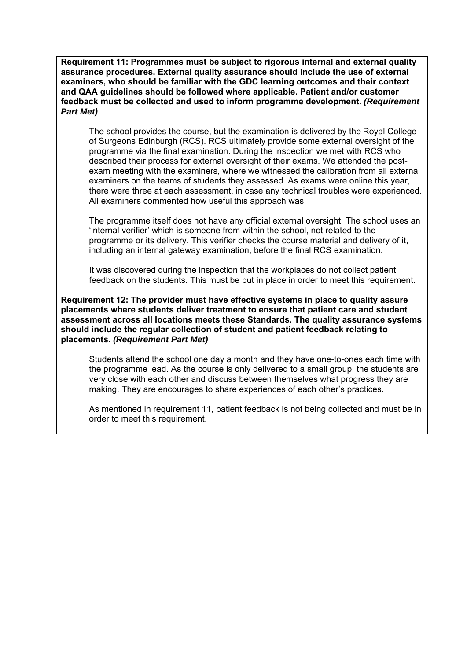**Requirement 11: Programmes must be subject to rigorous internal and external quality assurance procedures. External quality assurance should include the use of external examiners, who should be familiar with the GDC learning outcomes and their context and QAA guidelines should be followed where applicable. Patient and/or customer feedback must be collected and used to inform programme development.** *(Requirement Part Met)* 

The school provides the course, but the examination is delivered by the Royal College of Surgeons Edinburgh (RCS). RCS ultimately provide some external oversight of the programme via the final examination. During the inspection we met with RCS who described their process for external oversight of their exams. We attended the postexam meeting with the examiners, where we witnessed the calibration from all external examiners on the teams of students they assessed. As exams were online this year, there were three at each assessment, in case any technical troubles were experienced. All examiners commented how useful this approach was.

The programme itself does not have any official external oversight. The school uses an 'internal verifier' which is someone from within the school, not related to the programme or its delivery. This verifier checks the course material and delivery of it, including an internal gateway examination, before the final RCS examination.

It was discovered during the inspection that the workplaces do not collect patient feedback on the students. This must be put in place in order to meet this requirement.

**Requirement 12: The provider must have effective systems in place to quality assure placements where students deliver treatment to ensure that patient care and student assessment across all locations meets these Standards. The quality assurance systems should include the regular collection of student and patient feedback relating to placements.** *(Requirement Part Met)* 

Students attend the school one day a month and they have one-to-ones each time with the programme lead. As the course is only delivered to a small group, the students are very close with each other and discuss between themselves what progress they are making. They are encourages to share experiences of each other's practices.

As mentioned in requirement 11, patient feedback is not being collected and must be in order to meet this requirement.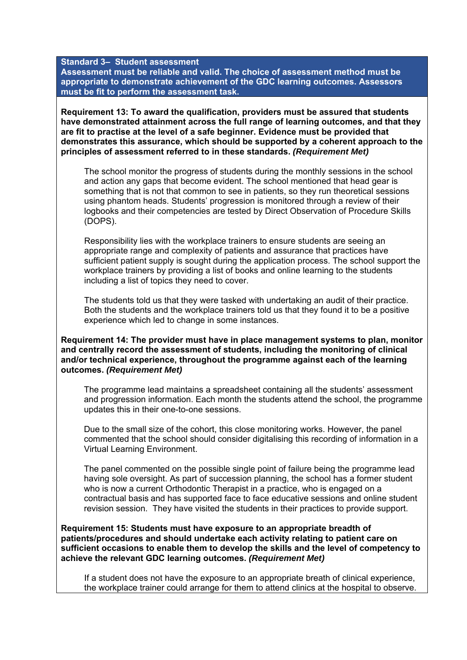**Standard 3– Student assessment** 

**Assessment must be reliable and valid. The choice of assessment method must be appropriate to demonstrate achievement of the GDC learning outcomes. Assessors must be fit to perform the assessment task.** 

**Requirement 13: To award the qualification, providers must be assured that students have demonstrated attainment across the full range of learning outcomes, and that they are fit to practise at the level of a safe beginner. Evidence must be provided that demonstrates this assurance, which should be supported by a coherent approach to the principles of assessment referred to in these standards.** *(Requirement Met)* 

The school monitor the progress of students during the monthly sessions in the school and action any gaps that become evident. The school mentioned that head gear is something that is not that common to see in patients, so they run theoretical sessions using phantom heads. Students' progression is monitored through a review of their logbooks and their competencies are tested by Direct Observation of Procedure Skills (DOPS).

Responsibility lies with the workplace trainers to ensure students are seeing an appropriate range and complexity of patients and assurance that practices have sufficient patient supply is sought during the application process. The school support the workplace trainers by providing a list of books and online learning to the students including a list of topics they need to cover.

The students told us that they were tasked with undertaking an audit of their practice. Both the students and the workplace trainers told us that they found it to be a positive experience which led to change in some instances.

**Requirement 14: The provider must have in place management systems to plan, monitor and centrally record the assessment of students, including the monitoring of clinical and/or technical experience, throughout the programme against each of the learning outcomes.** *(Requirement Met)* 

The programme lead maintains a spreadsheet containing all the students' assessment and progression information. Each month the students attend the school, the programme updates this in their one-to-one sessions.

Due to the small size of the cohort, this close monitoring works. However, the panel commented that the school should consider digitalising this recording of information in a Virtual Learning Environment.

The panel commented on the possible single point of failure being the programme lead having sole oversight. As part of succession planning, the school has a former student who is now a current Orthodontic Therapist in a practice, who is engaged on a contractual basis and has supported face to face educative sessions and online student revision session. They have visited the students in their practices to provide support.

**Requirement 15: Students must have exposure to an appropriate breadth of patients/procedures and should undertake each activity relating to patient care on sufficient occasions to enable them to develop the skills and the level of competency to achieve the relevant GDC learning outcomes.** *(Requirement Met)* 

If a student does not have the exposure to an appropriate breath of clinical experience, the workplace trainer could arrange for them to attend clinics at the hospital to observe.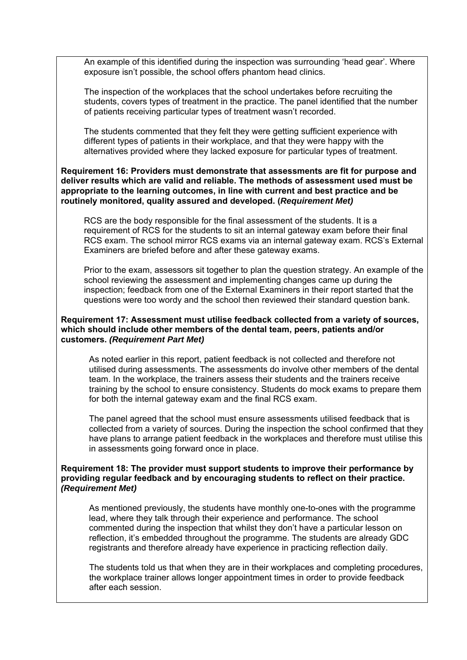An example of this identified during the inspection was surrounding 'head gear'. Where exposure isn't possible, the school offers phantom head clinics.

The inspection of the workplaces that the school undertakes before recruiting the students, covers types of treatment in the practice. The panel identified that the number of patients receiving particular types of treatment wasn't recorded.

The students commented that they felt they were getting sufficient experience with different types of patients in their workplace, and that they were happy with the alternatives provided where they lacked exposure for particular types of treatment.

#### **Requirement 16: Providers must demonstrate that assessments are fit for purpose and deliver results which are valid and reliable. The methods of assessment used must be appropriate to the learning outcomes, in line with current and best practice and be routinely monitored, quality assured and developed. (***Requirement Met)*

RCS are the body responsible for the final assessment of the students. It is a requirement of RCS for the students to sit an internal gateway exam before their final RCS exam. The school mirror RCS exams via an internal gateway exam. RCS's External Examiners are briefed before and after these gateway exams.

Prior to the exam, assessors sit together to plan the question strategy. An example of the school reviewing the assessment and implementing changes came up during the inspection; feedback from one of the External Examiners in their report started that the questions were too wordy and the school then reviewed their standard question bank.

#### **Requirement 17: Assessment must utilise feedback collected from a variety of sources, which should include other members of the dental team, peers, patients and/or customers.** *(Requirement Part Met)*

As noted earlier in this report, patient feedback is not collected and therefore not utilised during assessments. The assessments do involve other members of the dental team. In the workplace, the trainers assess their students and the trainers receive training by the school to ensure consistency. Students do mock exams to prepare them for both the internal gateway exam and the final RCS exam.

The panel agreed that the school must ensure assessments utilised feedback that is collected from a variety of sources. During the inspection the school confirmed that they have plans to arrange patient feedback in the workplaces and therefore must utilise this in assessments going forward once in place.

#### **Requirement 18: The provider must support students to improve their performance by providing regular feedback and by encouraging students to reflect on their practice.**  *(Requirement Met)*

 registrants and therefore already have experience in practicing reflection daily. As mentioned previously, the students have monthly one-to-ones with the programme lead, where they talk through their experience and performance. The school commented during the inspection that whilst they don't have a particular lesson on reflection, it's embedded throughout the programme. The students are already GDC

The students told us that when they are in their workplaces and completing procedures, the workplace trainer allows longer appointment times in order to provide feedback after each session.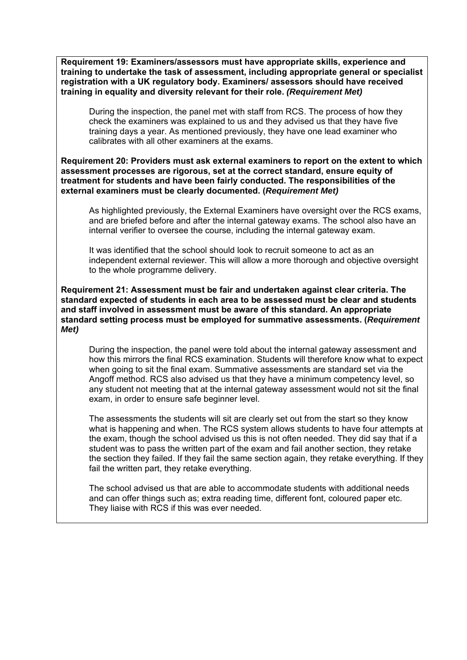**Requirement 19: Examiners/assessors must have appropriate skills, experience and training to undertake the task of assessment, including appropriate general or specialist registration with a UK regulatory body. Examiners/ assessors should have received training in equality and diversity relevant for their role.** *(Requirement Met)* 

During the inspection, the panel met with staff from RCS. The process of how they check the examiners was explained to us and they advised us that they have five training days a year. As mentioned previously, they have one lead examiner who calibrates with all other examiners at the exams.

**Requirement 20: Providers must ask external examiners to report on the extent to which assessment processes are rigorous, set at the correct standard, ensure equity of treatment for students and have been fairly conducted. The responsibilities of the external examiners must be clearly documented. (***Requirement Met)* 

As highlighted previously, the External Examiners have oversight over the RCS exams, and are briefed before and after the internal gateway exams. The school also have an internal verifier to oversee the course, including the internal gateway exam.

It was identified that the school should look to recruit someone to act as an independent external reviewer. This will allow a more thorough and objective oversight to the whole programme delivery.

**Requirement 21: Assessment must be fair and undertaken against clear criteria. The standard expected of students in each area to be assessed must be clear and students and staff involved in assessment must be aware of this standard. An appropriate standard setting process must be employed for summative assessments. (***Requirement Met)* 

During the inspection, the panel were told about the internal gateway assessment and how this mirrors the final RCS examination. Students will therefore know what to expect when going to sit the final exam. Summative assessments are standard set via the Angoff method. RCS also advised us that they have a minimum competency level, so any student not meeting that at the internal gateway assessment would not sit the final exam, in order to ensure safe beginner level.

The assessments the students will sit are clearly set out from the start so they know what is happening and when. The RCS system allows students to have four attempts at the exam, though the school advised us this is not often needed. They did say that if a student was to pass the written part of the exam and fail another section, they retake the section they failed. If they fail the same section again, they retake everything. If they fail the written part, they retake everything.

 They liaise with RCS if this was ever needed. The school advised us that are able to accommodate students with additional needs and can offer things such as; extra reading time, different font, coloured paper etc.